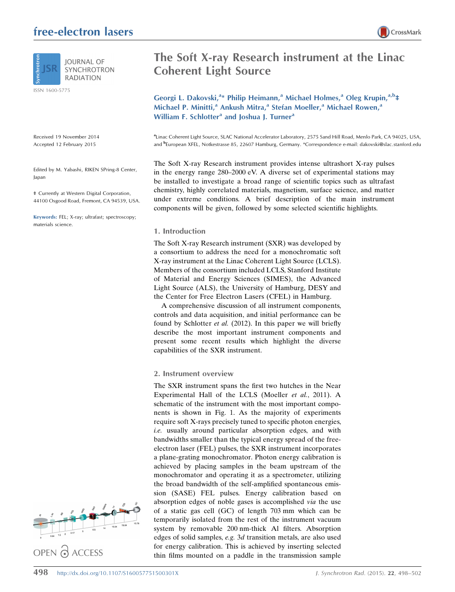# free-electron lasers



ISSN 1600-5775

Received 19 November 2014 Accepted 12 February 2015

Edited by M. Yabashi, RIKEN SPring-8 Center, Japan

‡ Currently at Western Digital Corporation, 44100 Osgood Road, Fremont, CA 94539, USA.

Keywords: FEL; X-ray; ultrafast; spectroscopy; materials science.



# The Soft X-ray Research instrument at the Linac Coherent Light Source

Georgi L. Dakovski,<sup>a\*</sup> Philip Heimann,<sup>a</sup> Michael Holmes,<sup>a</sup> Oleg Krupin,<sup>a,b</sup>‡ Michael P. Minitti,<sup>a</sup> Ankush Mitra,<sup>a</sup> Stefan Moeller,<sup>a</sup> Michael Rowen,<sup>a</sup> William F. Schlotter<sup>a</sup> and Joshua J. Turner<sup>a</sup>

a Linac Coherent Light Source, SLAC National Accelerator Laboratory, 2575 Sand Hill Road, Menlo Park, CA 94025, USA, and <sup>b</sup>European XFEL, Notkestrasse 85, 22607 Hamburg, Germany. \*Correspondence e-mail: dakovski@slac.stanford.edu

The Soft X-ray Research instrument provides intense ultrashort X-ray pulses in the energy range 280–2000 eV. A diverse set of experimental stations may be installed to investigate a broad range of scientific topics such as ultrafast chemistry, highly correlated materials, magnetism, surface science, and matter under extreme conditions. A brief description of the main instrument components will be given, followed by some selected scientific highlights.

#### 1. Introduction

The Soft X-ray Research instrument (SXR) was developed by a consortium to address the need for a monochromatic soft X-ray instrument at the Linac Coherent Light Source (LCLS). Members of the consortium included LCLS, Stanford Institute of Material and Energy Sciences (SIMES), the Advanced Light Source (ALS), the University of Hamburg, DESY and the Center for Free Electron Lasers (CFEL) in Hamburg.

A comprehensive discussion of all instrument components, controls and data acquisition, and initial performance can be found by Schlotter et al. (2012). In this paper we will briefly describe the most important instrument components and present some recent results which highlight the diverse capabilities of the SXR instrument.

## 2. Instrument overview

The SXR instrument spans the first two hutches in the Near Experimental Hall of the LCLS (Moeller et al., 2011). A schematic of the instrument with the most important components is shown in Fig. 1. As the majority of experiments require soft X-rays precisely tuned to specific photon energies, i.e. usually around particular absorption edges, and with bandwidths smaller than the typical energy spread of the freeelectron laser (FEL) pulses, the SXR instrument incorporates a plane-grating monochromator. Photon energy calibration is achieved by placing samples in the beam upstream of the monochromator and operating it as a spectrometer, utilizing the broad bandwidth of the self-amplified spontaneous emission (SASE) FEL pulses. Energy calibration based on absorption edges of noble gases is accomplished via the use of a static gas cell (GC) of length 703 mm which can be temporarily isolated from the rest of the instrument vacuum system by removable 200 nm-thick Al filters. Absorption edges of solid samples, e.g. 3d transition metals, are also used for energy calibration. This is achieved by inserting selected thin films mounted on a paddle in the transmission sample

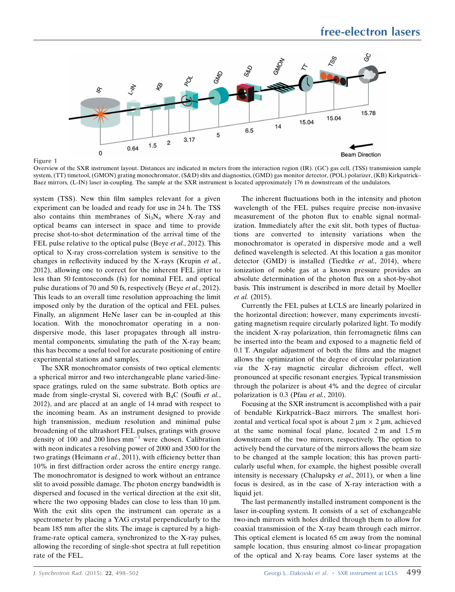

Figure 1

Overview of the SXR instrument layout. Distances are indicated in meters from the interaction region (IR). (GC) gas cell, (TSS) transmission sample system, (TT) timetool, (GMON) grating monochromator, (S&D) slits and diagnostics, (GMD) gas monitor detector, (POL) polarizer, (KB) Kirkpatrick– Baez mirrors, (L-IN) laser in-coupling. The sample at the SXR instrument is located approximately 176 m downstream of the undulators.

system (TSS). New thin film samples relevant for a given experiment can be loaded and ready for use in 24 h. The TSS also contains thin membranes of  $Si<sub>3</sub>N<sub>4</sub>$  where X-ray and optical beams can intersect in space and time to provide precise shot-to-shot determination of the arrival time of the FEL pulse relative to the optical pulse (Beye et al., 2012). This optical to X-ray cross-correlation system is sensitive to the changes in reflectivity induced by the X-rays (Krupin et al., 2012), allowing one to correct for the inherent FEL jitter to less than 50 femtoseconds (fs) for nominal FEL and optical pulse durations of 70 and 50 fs, respectively (Beye et al., 2012). This leads to an overall time resolution approaching the limit imposed only by the duration of the optical and FEL pulses. Finally, an alignment HeNe laser can be in-coupled at this location. With the monochromator operating in a nondispersive mode, this laser propagates through all instrumental components, simulating the path of the X-ray beam; this has become a useful tool for accurate positioning of entire experimental stations and samples.

The SXR monochromator consists of two optical elements: a spherical mirror and two interchangeable plane varied-linespace gratings, ruled on the same substrate. Both optics are made from single-crystal Si, covered with  $B_4C$  (Soufli et al., 2012), and are placed at an angle of 14 mrad with respect to the incoming beam. As an instrument designed to provide high transmission, medium resolution and minimal pulse broadening of the ultrashort FEL pulses, gratings with groove density of 100 and 200 lines  $mm^{-1}$  were chosen. Calibration with neon indicates a resolving power of 2000 and 3500 for the two gratings (Heimann et al., 2011), with efficiency better than 10% in first diffraction order across the entire energy range. The monochromator is designed to work without an entrance slit to avoid possible damage. The photon energy bandwidth is dispersed and focused in the vertical direction at the exit slit, where the two opposing blades can close to less than  $10 \mu m$ . With the exit slits open the instrument can operate as a spectrometer by placing a YAG crystal perpendicularly to the beam 185 mm after the slits. The image is captured by a highframe-rate optical camera, synchronized to the X-ray pulses, allowing the recording of single-shot spectra at full repetition rate of the FEL.

The inherent fluctuations both in the intensity and photon wavelength of the FEL pulses require precise non-invasive measurement of the photon flux to enable signal normalization. Immediately after the exit slit, both types of fluctuations are converted to intensity variations when the monochromator is operated in dispersive mode and a well defined wavelength is selected. At this location a gas monitor detector (GMD) is installed (Tiedtke et al., 2014), where ionization of noble gas at a known pressure provides an absolute determination of the photon flux on a shot-by-shot basis. This instrument is described in more detail by Moeller et al. (2015).

Currently the FEL pulses at LCLS are linearly polarized in the horizontal direction; however, many experiments investigating magnetism require circularly polarized light. To modify the incident X-ray polarization, thin ferromagnetic films can be inserted into the beam and exposed to a magnetic field of 0.1 T. Angular adjustment of both the films and the magnet allows the optimization of the degree of circular polarization via the X-ray magnetic circular dichroism effect, well pronounced at specific resonant energies. Typical transmission through the polarizer is about 4% and the degree of circular polarization is 0.3 (Pfau et al., 2010).

Focusing at the SXR instrument is accomplished with a pair of bendable Kirkpatrick–Baez mirrors. The smallest horizontal and vertical focal spot is about  $2 \mu m \times 2 \mu m$ , achieved at the same nominal focal plane, located 2 m and 1.5 m downstream of the two mirrors, respectively. The option to actively bend the curvature of the mirrors allows the beam size to be changed at the sample location; this has proven particularly useful when, for example, the highest possible overall intensity is necessary (Chalupsky et al., 2011), or when a line focus is desired, as in the case of X-ray interaction with a liquid jet.

The last permanently installed instrument component is the laser in-coupling system. It consists of a set of exchangeable two-inch mirrors with holes drilled through them to allow for coaxial transmission of the X-ray beam through each mirror. This optical element is located 65 cm away from the nominal sample location, thus ensuring almost co-linear propagation of the optical and X-ray beams. Core laser systems at the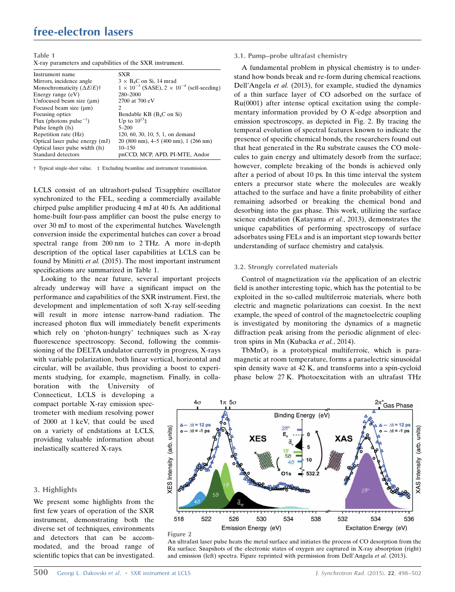## free-electron lasers

Table 1

X-ray parameters and capabilities of the SXR instrument.

| Instrument name                                  | <b>SXR</b>                                                         |
|--------------------------------------------------|--------------------------------------------------------------------|
| Mirrors, incidence angle                         | $3 \times B_4C$ on Si, 14 mrad                                     |
| Monochromaticity $(\Delta E/E)^{\dagger}$        | $1 \times 10^{-3}$ (SASE), $2 \times 10^{-4}$ (self-seeding)       |
| Energy range $(eV)$                              | 280-2000                                                           |
| Unfocused beam size $(\mu m)$                    | 2700 at 700 eV                                                     |
| Focused beam size $(\mu m)$                      | 2                                                                  |
| Focusing optics                                  | Bendable KB $(B_4C \text{ on } Si)$                                |
| Flux (photons pulse <sup><math>-1</math></sup> ) | Up to $10^{13}$ ‡                                                  |
| Pulse length (fs)                                | $5 - 200$                                                          |
| Repetition rate (Hz)                             | 120, 60, 30, 10, 5, 1, on demand                                   |
| Optical laser pulse energy (mJ)                  | $20(800 \text{ nm})$ , $4-5(400 \text{ nm})$ , $1(266 \text{ nm})$ |
| Optical laser pulse width (fs)                   | $10 - 150$                                                         |
| Standard detectors                               | pnCCD, MCP, APD, PI-MTE, Andor                                     |

† Typical single-shot value. ‡ Excluding beamline and instrument transmission.

LCLS consist of an ultrashort-pulsed Ti:sapphire oscillator synchronized to the FEL, seeding a commercially available chirped pulse amplifier producing 4 mJ at 40 fs. An additional home-built four-pass amplifier can boost the pulse energy to over 30 mJ to most of the experimental hutches. Wavelength conversion inside the experimental hutches can cover a broad spectral range from 200 nm to 2 THz. A more in-depth description of the optical laser capabilities at LCLS can be found by Minitti et al. (2015). The most important instrument specifications are summarized in Table 1.

Looking to the near future, several important projects already underway will have a significant impact on the performance and capabilities of the SXR instrument. First, the development and implementation of soft X-ray self-seeding will result in more intense narrow-band radiation. The increased photon flux will immediately benefit experiments which rely on 'photon-hungry' techniques such as X-ray fluorescence spectroscopy. Second, following the commissioning of the DELTA undulator currently in progress, X-rays with variable polarization, both linear vertical, horizontal and circular, will be available, thus providing a boost to experiments studying, for example, magnetism. Finally, in colla-

boration with the University of Connecticut, LCLS is developing a compact portable X-ray emission spectrometer with medium resolving power of 2000 at 1 keV, that could be used on a variety of endstations at LCLS, providing valuable information about inelastically scattered X-rays.

## 3. Highlights

We present some highlights from the first few years of operation of the SXR instrument, demonstrating both the diverse set of techniques, environments and detectors that can be accommodated, and the broad range of scientific topics that can be investigated.

## 3.1. Pump–probe ultrafast chemistry

A fundamental problem in physical chemistry is to understand how bonds break and re-form during chemical reactions. Dell'Angela et al. (2013), for example, studied the dynamics of a thin surface layer of CO adsorbed on the surface of Ru(0001) after intense optical excitation using the complementary information provided by O K-edge absorption and emission spectroscopy, as depicted in Fig. 2. By tracing the temporal evolution of spectral features known to indicate the presence of specific chemical bonds, the researchers found out that heat generated in the Ru substrate causes the CO molecules to gain energy and ultimately desorb from the surface; however, complete breaking of the bonds is achieved only after a period of about 10 ps. In this time interval the system enters a precursor state where the molecules are weakly attached to the surface and have a finite probability of either remaining adsorbed or breaking the chemical bond and desorbing into the gas phase. This work, utilizing the surface science endstation (Katayama et al., 2013), demonstrates the unique capabilities of performing spectroscopy of surface adsorbates using FELs and is an important step towards better understanding of surface chemistry and catalysis.

#### 3.2. Strongly correlated materials

Control of magnetization via the application of an electric field is another interesting topic, which has the potential to be exploited in the so-called multiferroic materials, where both electric and magnetic polarizations can coexist. In the next example, the speed of control of the magnetoelectric coupling is investigated by monitoring the dynamics of a magnetic diffraction peak arising from the periodic alignment of electron spins in Mn (Kubacka et al., 2014).

TbMn $O<sub>3</sub>$  is a prototypical multiferroic, which is paramagnetic at room temperature, forms a paraelectric sinusoidal spin density wave at 42 K, and transforms into a spin-cycloid phase below 27 K. Photoexcitation with an ultrafast THz



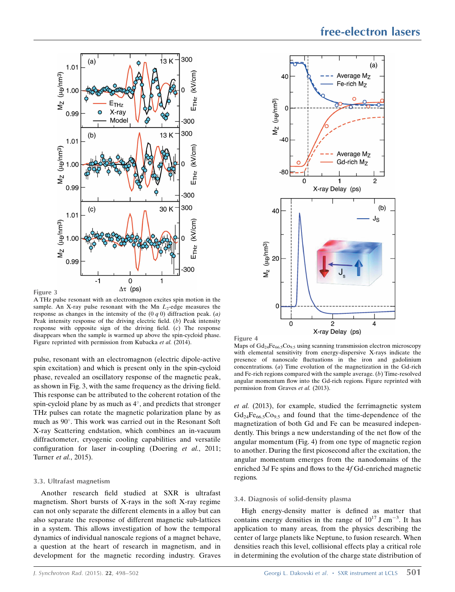

A THz pulse resonant with an electromagnon excites spin motion in the sample. An X-ray pulse resonant with the Mn  $L_2$ -edge measures the response as changes in the intensity of the  $(0 q 0)$  diffraction peak.  $(a)$ Peak intensity response of the driving electric field. (b) Peak intensity response with opposite sign of the driving field. (c) The response disappears when the sample is warmed up above the spin-cycloid phase. Figure reprinted with permission from Kubacka et al. (2014).

pulse, resonant with an electromagnon (electric dipole-active spin excitation) and which is present only in the spin-cycloid phase, revealed an oscillatory response of the magnetic peak, as shown in Fig. 3, with the same frequency as the driving field. This response can be attributed to the coherent rotation of the spin-cycloid plane by as much as  $4^\circ$ , and predicts that stronger THz pulses can rotate the magnetic polarization plane by as much as 90°. This work was carried out in the Resonant Soft X-ray Scattering endstation, which combines an in-vacuum diffractometer, cryogenic cooling capabilities and versatile configuration for laser in-coupling (Doering et al., 2011; Turner et al., 2015).

#### 3.3. Ultrafast magnetism

Another research field studied at SXR is ultrafast magnetism. Short bursts of X-rays in the soft X-ray regime can not only separate the different elements in a alloy but can also separate the response of different magnetic sub-lattices in a system. This allows investigation of how the temporal dynamics of individual nanoscale regions of a magnet behave, a question at the heart of research in magnetism, and in development for the magnetic recording industry. Graves



Figure 4

Maps of  $Gd_{24}Fe_{66,5}Co_{9,5}$  using scanning transmission electron microscopy with elemental sensitivity from energy-dispersive X-rays indicate the presence of nanoscale fluctuations in the iron and gadolinium concentrations. (a) Time evolution of the magnetization in the Gd-rich and Fe-rich regions compared with the sample average.  $(b)$  Time-resolved angular momentum flow into the Gd-rich regions. Figure reprinted with permission from Graves et al. (2013).

et al. (2013), for example, studied the ferrimagnetic system  $Gd_{24}Fe_{66,5}Co_{9,5}$  and found that the time-dependence of the magnetization of both Gd and Fe can be measured independently. This brings a new understanding of the net flow of the angular momentum (Fig. 4) from one type of magnetic region to another. During the first picosecond after the excitation, the angular momentum emerges from the nanodomains of the enriched 3d Fe spins and flows to the 4f Gd-enriched magnetic regions.

### 3.4. Diagnosis of solid-density plasma

High energy-density matter is defined as matter that contains energy densities in the range of  $10^{17}$  J cm<sup>-3</sup>. It has application to many areas, from the physics describing the center of large planets like Neptune, to fusion research. When densities reach this level, collisional effects play a critical role in determining the evolution of the charge state distribution of